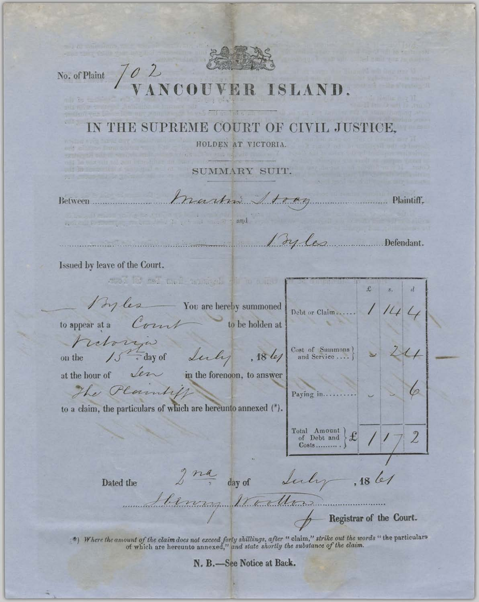

No. of Plaint

 $\theta$ 

ISLAND

## HE SUPREME COURT OF CIVIL JUSTICE.

HOLDEN AT VICTORIA.

SUMMARY SUIT.

Between.................

Martin 1 toan Plaintiff,

and the stand

Defendant.

Issued by leave of the Court.

work he sell mail an sight with the  $\mathcal{L}$ By les You are hereby summoned Debt or Claim...... Court to appear at a to be holden at haboriza  $\left.\begin{array}{ccc} \text{Cost} & \text{6} & \text{Sammons} \\ \text{and Service} & \dots \end{array}\right\}$ 15th day of Leily  $, 18\ l$ on the at the hour of  $\sqrt{2\pi}$  in the forenoon, to answer The Plaintiff 0 Paying in.......... to a claim, the particulars of which are hereunto annexed (\*).  $\begin{tabular}{c} Total & Amount \\ of & Debt and \end{tabular}$  $f(x)$  $\mathbf{2}$  $Costs$ .........  $2\frac{na}{n}$ day of Lectry  $,1861$ Dated the bennes tradens Registrar of the Court.

(\*) Where the amount of the claim does not exceed forty shillings, after " claim," strike out the words " the particulars of which are hereunto annexed," and state shortly the substance of the claim.

N. B.-See Notice at Back.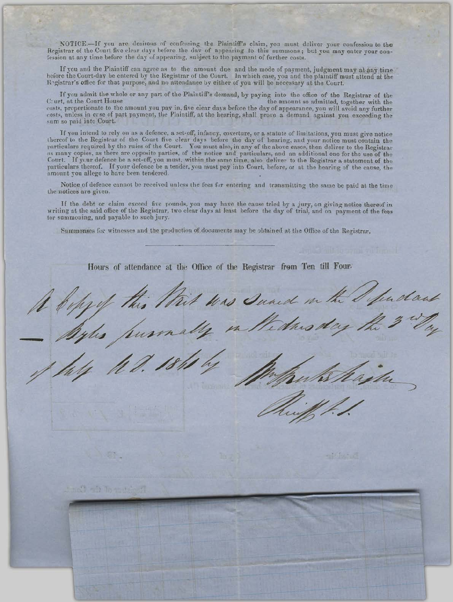NOTICE.-If you are desirous of confessing the Plaintiff's claim, you must deliver your confession to the Registrar of the Court five clear days before the day of appearing to this summons; but you may enter your conlession at any time before the day of appearing, subject to the payment of further costs.

If you and the Plaintiff can agree as to the amount due and the mode of payment, judgment may at any time before the Court-day be entered by the Registrar of the Court. In which case, you and the plaintiff must attend at t Registrar's office for that purpose, and no attendance by either of you will be necessary at the Court.

If you admit the whole or any part of the Plaintiff's demand, by paying into the office of the Registrar of the Court, at the Court House the amount so admitted, together with the costs, proportionate to the amount you pay in, five clear days before the day of appearance, you will avoid any further costs, unless in crse of part payment, the Plaintiff, at the hearing, shall prove a demand against you exceeding the sum so paid into Court.

If you intend to rely on as a defence, a set-off, infancy, coverture, or a statute of limitations, you must give notice thereof to the Registrar of the Court five clear days before the day of hearing, and your notice must as many copies, as there are opposite parties, of the notice and particulars, and an additional one for the use of the Court. If your defence be a set-off, you must, within the same time, also deliver to the Registrar a st particulars thereof. If your defence be a tender, you must pay into Court, before, or at the hearing of the cause, the amount you allege to have been tendered.

Notice of defence cannot be received unless the fees for entering and transmitting the same be paid at the time the notices are given.

If the debt or claim exceed five pounds, you may have the cause tried by a jury, on giving notice thereof in writing at the said office of the Registrar, two clear days at least before the day of trial, and on payment of the fees tor summoning, and payable to such jury.

Summonses for witnesses and the production of documents may be obtained at the Office of the Registrar.

Hours of attendance at the Office of the Registrar from Ten till Four. A befyel this thit was sund in the Sundant Different 21 all an Intelligent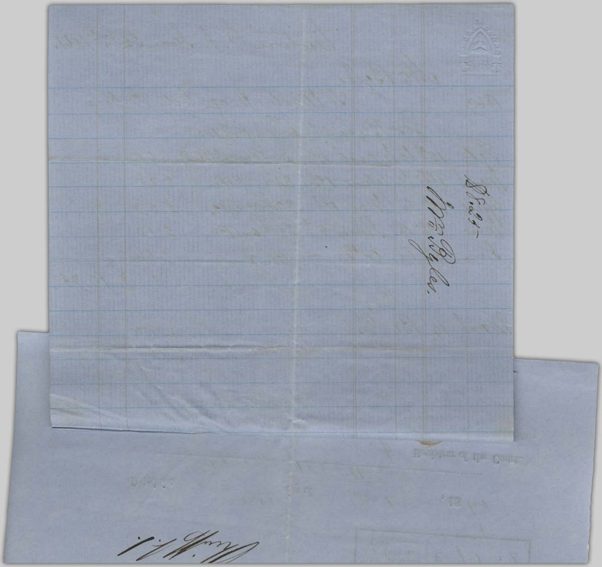